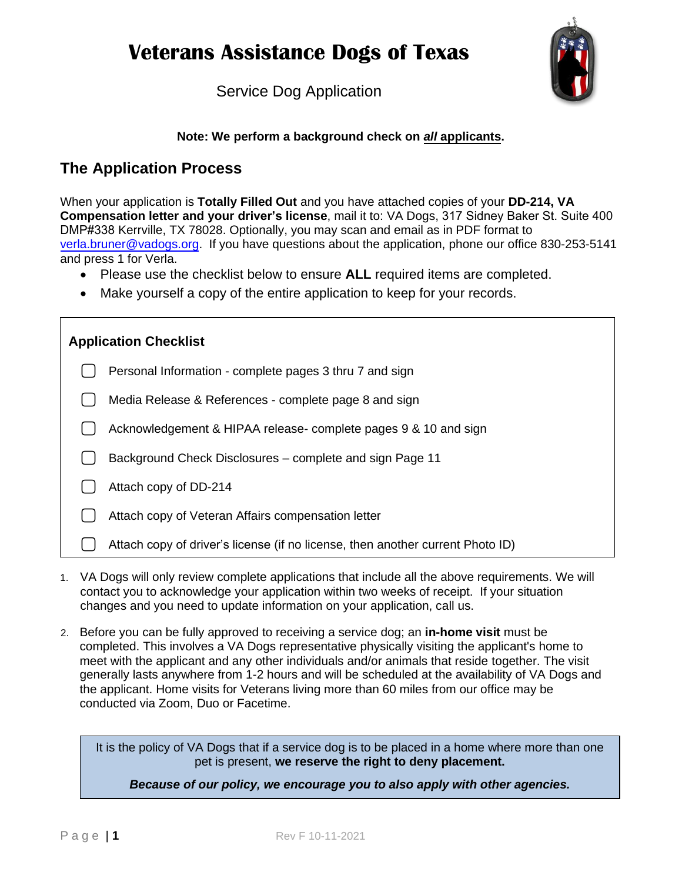

Service Dog Application

### **Note: We perform a background check on** *all* **applicants.**

### **The Application Process**

When your application is **Totally Filled Out** and you have attached copies of your **DD-214, VA Compensation letter and your driver's license**, mail it to: VA Dogs, 317 Sidney Baker St. Suite 400 DMP#338 Kerrville, TX 78028. Optionally, you may scan and email as in PDF format to [verla.bruner@vadogs.org.](mailto:verla.bruner@vadogs.org) If you have questions about the application, phone our office 830-253-5141 and press 1 for Verla.

- Please use the checklist below to ensure **ALL** required items are completed.
- Make yourself a copy of the entire application to keep for your records.

| <b>Application Checklist</b>                                    |                                                                                |  |
|-----------------------------------------------------------------|--------------------------------------------------------------------------------|--|
| Personal Information - complete pages 3 thru 7 and sign         |                                                                                |  |
| Media Release & References - complete page 8 and sign           |                                                                                |  |
| Acknowledgement & HIPAA release- complete pages 9 & 10 and sign |                                                                                |  |
| Background Check Disclosures – complete and sign Page 11        |                                                                                |  |
| Attach copy of DD-214                                           |                                                                                |  |
| Attach copy of Veteran Affairs compensation letter              |                                                                                |  |
|                                                                 | Attach copy of driver's license (if no license, then another current Photo ID) |  |

- 1. VA Dogs will only review complete applications that include all the above requirements. We will contact you to acknowledge your application within two weeks of receipt. If your situation changes and you need to update information on your application, call us.
- 2. Before you can be fully approved to receiving a service dog; an **in-home visit** must be completed. This involves a VA Dogs representative physically visiting the applicant's home to meet with the applicant and any other individuals and/or animals that reside together. The visit generally lasts anywhere from 1-2 hours and will be scheduled at the availability of VA Dogs and the applicant. Home visits for Veterans living more than 60 miles from our office may be conducted via Zoom, Duo or Facetime.

It is the policy of VA Dogs that if a service dog is to be placed in a home where more than one pet is present, **we reserve the right to deny placement.** 

*Because of our policy, we encourage you to also apply with other agencies.*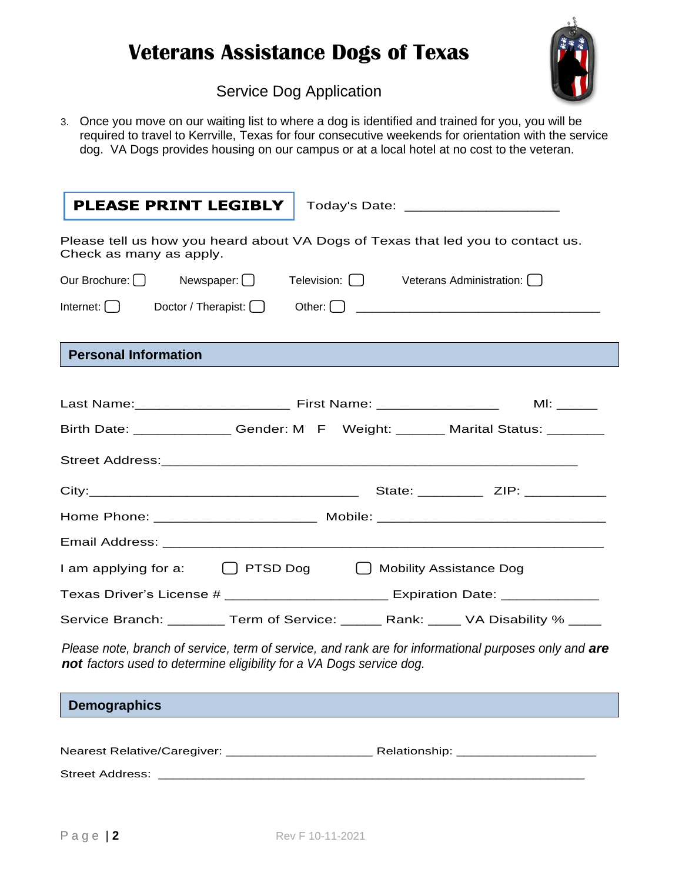

## Service Dog Application

3. Once you move on our waiting list to where a dog is identified and trained for you, you will be required to travel to Kerrville, Texas for four consecutive weekends for orientation with the service dog. VA Dogs provides housing on our campus or at a local hotel at no cost to the veteran.

| <b>PLEASE PRINT LEGIBLY</b>                                          | Today's Date: _______________________                                                                 |
|----------------------------------------------------------------------|-------------------------------------------------------------------------------------------------------|
| Check as many as apply.                                              | Please tell us how you heard about VA Dogs of Texas that led you to contact us.                       |
|                                                                      | Our Brochure: Newspaper: 0 Television: 0 Veterans Administration: 0                                   |
| Internet: $\bigcap$<br>Doctor / Therapist: $\Box$                    |                                                                                                       |
| <b>Personal Information</b>                                          |                                                                                                       |
|                                                                      |                                                                                                       |
|                                                                      | Birth Date: ______________Gender: M F Weight: _______ Marital Status: ________                        |
|                                                                      |                                                                                                       |
|                                                                      |                                                                                                       |
|                                                                      | Home Phone: ________________________ Mobile: ___________________________________                      |
|                                                                      |                                                                                                       |
|                                                                      | I am applying for a: $\bigcap$ PTSD Dog $\bigcap$ Mobility Assistance Dog                             |
|                                                                      | Texas Driver's License # ______________________ Expiration Date: _______________                      |
|                                                                      | Service Branch: ________ Term of Service: ______ Rank: ____ VA Disability % ____                      |
| not factors used to determine eligibility for a VA Dogs service dog. | Please note, branch of service, term of service, and rank are for informational purposes only and are |

**Demographics**

| Nearest Relative/Caregiver: | Relationship: |
|-----------------------------|---------------|
| Street Address:             |               |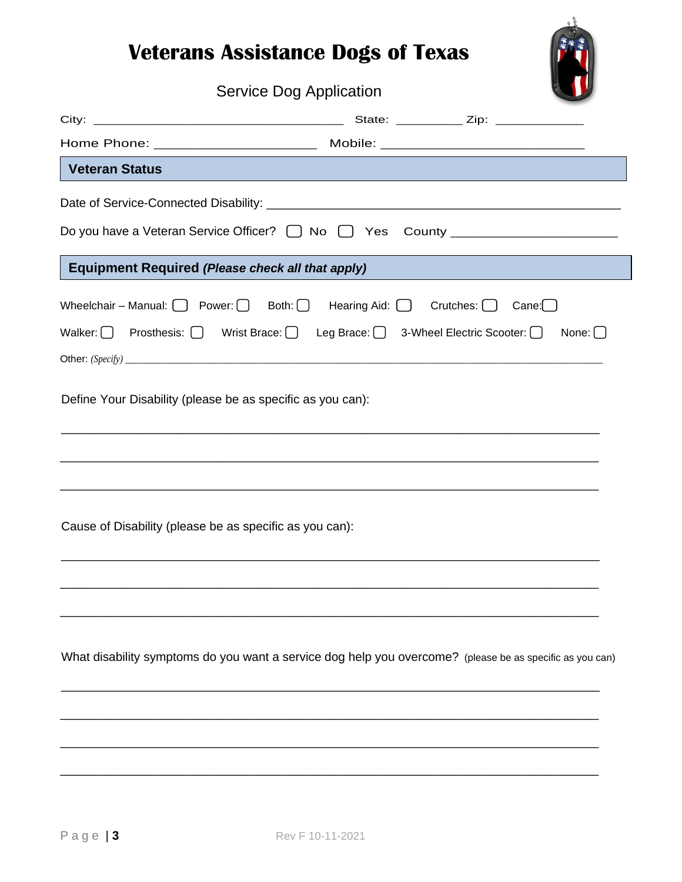

## Service Dog Application

| <b>Veteran Status</b>                                                                                                                                                                                       | <b>Contract Contract Contract Contract Contract Contract Contract Contract Contract Contract Contract Contract Co</b> |              |
|-------------------------------------------------------------------------------------------------------------------------------------------------------------------------------------------------------------|-----------------------------------------------------------------------------------------------------------------------|--------------|
|                                                                                                                                                                                                             |                                                                                                                       |              |
|                                                                                                                                                                                                             |                                                                                                                       |              |
| <b>Equipment Required (Please check all that apply)</b>                                                                                                                                                     |                                                                                                                       |              |
| Wheelchair – Manual: $\bigcap$ Power: $\bigcap$ Both: $\bigcap$ Hearing Aid: $\bigcap$ Crutches: $\bigcap$ Cane: $\bigcap$<br>Walker:   Prosthesis:   Wrist Brace:   Leg Brace:   3-Wheel Electric Scooter: |                                                                                                                       | None: $\Box$ |
|                                                                                                                                                                                                             |                                                                                                                       |              |
| Define Your Disability (please be as specific as you can):                                                                                                                                                  |                                                                                                                       |              |
|                                                                                                                                                                                                             |                                                                                                                       |              |
|                                                                                                                                                                                                             |                                                                                                                       |              |
| Cause of Disability (please be as specific as you can):                                                                                                                                                     |                                                                                                                       |              |
|                                                                                                                                                                                                             |                                                                                                                       |              |
|                                                                                                                                                                                                             |                                                                                                                       |              |
| What disability symptoms do you want a service dog help you overcome? (please be as specific as you can)                                                                                                    |                                                                                                                       |              |
|                                                                                                                                                                                                             |                                                                                                                       |              |
|                                                                                                                                                                                                             |                                                                                                                       |              |
|                                                                                                                                                                                                             |                                                                                                                       |              |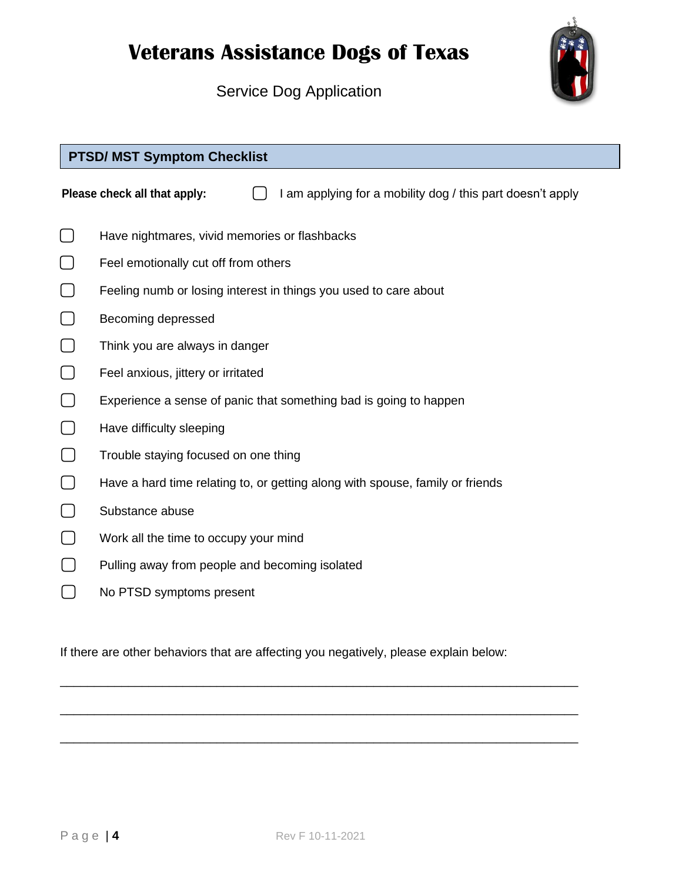

Service Dog Application

## **PTSD/ MST Symptom Checklist**

**Please check all that apply:**  $\Box$  **I am applying for a mobility dog / this part doesn't apply** 

- **⃣** Have nightmares, vivid memories or flashbacks
- **⃣** Feel emotionally cut off from others
- **T** Feeling numb or losing interest in things you used to care about
- **⃣** Becoming depressed
- **⃣** Think you are always in danger
- **⃣** Feel anxious, jittery or irritated
- **⃣** Experience a sense of panic that something bad is going to happen
- **⃣** Have difficulty sleeping
- **⃣** Trouble staying focused on one thing
- **⃣** Have a hard time relating to, or getting along with spouse, family or friends
- **⃣** Substance abuse
- **⃣** Work all the time to occupy your mind
- **Pulling away from people and becoming isolated**
- **⃣** No PTSD symptoms present

If there are other behaviors that are affecting you negatively, please explain below:

\_\_\_\_\_\_\_\_\_\_\_\_\_\_\_\_\_\_\_\_\_\_\_\_\_\_\_\_\_\_\_\_\_\_\_\_\_\_\_\_\_\_\_\_\_\_\_\_\_\_\_\_\_\_\_\_\_\_\_\_\_\_\_\_\_\_\_\_\_\_\_\_\_\_\_\_

\_\_\_\_\_\_\_\_\_\_\_\_\_\_\_\_\_\_\_\_\_\_\_\_\_\_\_\_\_\_\_\_\_\_\_\_\_\_\_\_\_\_\_\_\_\_\_\_\_\_\_\_\_\_\_\_\_\_\_\_\_\_\_\_\_\_\_\_\_\_\_\_\_\_\_\_

\_\_\_\_\_\_\_\_\_\_\_\_\_\_\_\_\_\_\_\_\_\_\_\_\_\_\_\_\_\_\_\_\_\_\_\_\_\_\_\_\_\_\_\_\_\_\_\_\_\_\_\_\_\_\_\_\_\_\_\_\_\_\_\_\_\_\_\_\_\_\_\_\_\_\_\_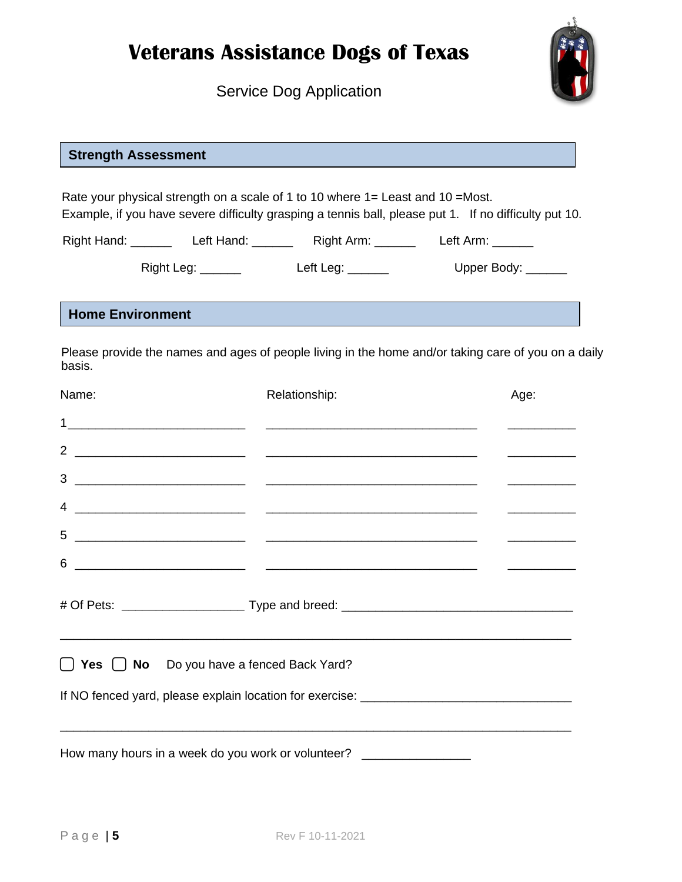Service Dog Application



### **Strength Assessment**

Rate your physical strength on a scale of 1 to 10 where 1= Least and 10 =Most. Example, if you have severe difficulty grasping a tennis ball, please put 1. If no difficulty put 10.

Right Hand: \_\_\_\_\_\_ Left Hand: \_\_\_\_\_\_ Right Arm: \_\_\_\_\_\_ Left Arm: \_\_\_\_\_

Right Leg: \_\_\_\_\_\_\_ Left Leg: \_\_\_\_\_\_ Upper Body: \_\_\_\_\_

#### **Home Environment**

Please provide the names and ages of people living in the home and/or taking care of you on a daily basis.

| Name: | Relationship:                                                                                                                            | Age: |  |
|-------|------------------------------------------------------------------------------------------------------------------------------------------|------|--|
|       |                                                                                                                                          |      |  |
|       |                                                                                                                                          |      |  |
|       |                                                                                                                                          |      |  |
|       | $\overline{4}$ $\overline{\phantom{1}}$                                                                                                  |      |  |
| 5     | <u> 1989 - Andrea Brandon, amerikan personal (h. 1989).</u>                                                                              |      |  |
| 6     |                                                                                                                                          |      |  |
|       |                                                                                                                                          |      |  |
|       | ,我们也不能在这里的,我们也不能在这里的时候,我们也不能在这里的时候,我们也不能不能不能不能不能不能不能不能不能。""我们,我们也不能不能不能不能不能不能不能不<br>$\Box$ Yes $\Box$ No Do you have a fenced Back Yard? |      |  |
|       |                                                                                                                                          |      |  |
|       |                                                                                                                                          |      |  |
|       | How many hours in a week do you work or volunteer? _________________                                                                     |      |  |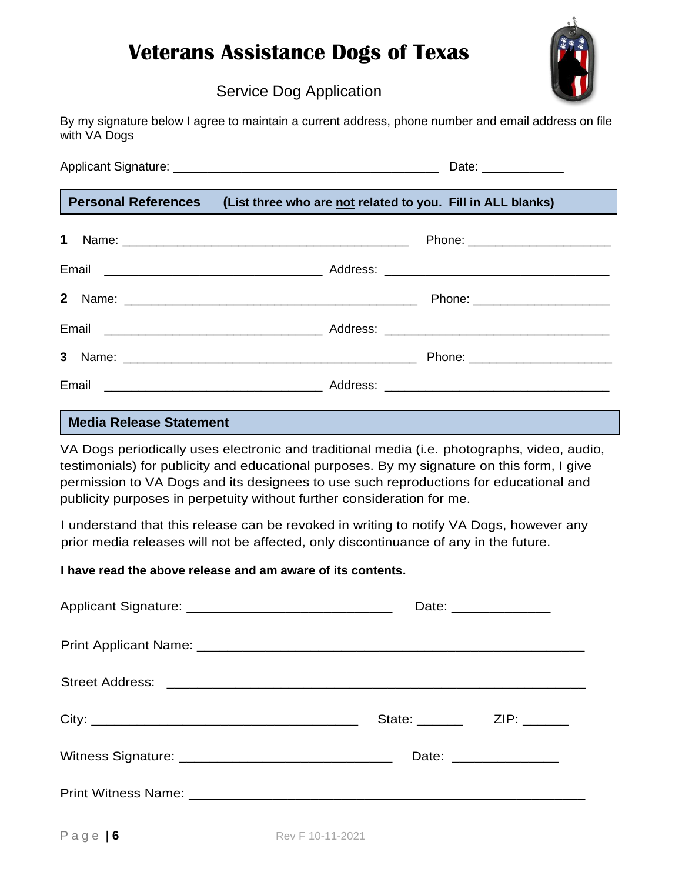

## Service Dog Application

| By my signature below I agree to maintain a current address, phone number and email address on file |  |  |  |
|-----------------------------------------------------------------------------------------------------|--|--|--|
| with VA Dogs                                                                                        |  |  |  |

|  |  | Date: _____________                                                             |  |
|--|--|---------------------------------------------------------------------------------|--|
|  |  | Personal References (List three who are not related to you. Fill in ALL blanks) |  |
|  |  | Phone: _________________________                                                |  |
|  |  |                                                                                 |  |
|  |  | Phone: _________________________                                                |  |
|  |  |                                                                                 |  |
|  |  |                                                                                 |  |
|  |  |                                                                                 |  |

### **Media Release Statement**

VA Dogs periodically uses electronic and traditional media (i.e. photographs, video, audio, testimonials) for publicity and educational purposes. By my signature on this form, I give permission to VA Dogs and its designees to use such reproductions for educational and publicity purposes in perpetuity without further consideration for me.

I understand that this release can be revoked in writing to notify VA Dogs, however any prior media releases will not be affected, only discontinuance of any in the future.

#### **I have read the above release and am aware of its contents.**

| Date: ________________    |                        |
|---------------------------|------------------------|
|                           |                        |
|                           |                        |
| State: _______ ZIP: _____ |                        |
|                           | Date: ________________ |
|                           |                        |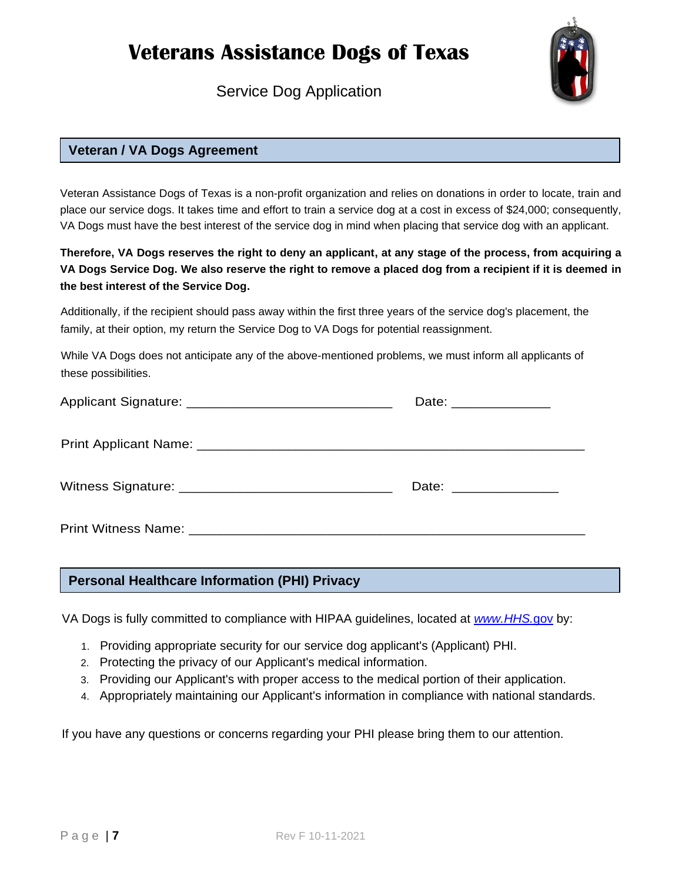Service Dog Application



### **Veteran / VA Dogs Agreement**

Veteran Assistance Dogs of Texas is a non-profit organization and relies on donations in order to locate, train and place our service dogs. It takes time and effort to train a service dog at a cost in excess of \$24,000; consequently, VA Dogs must have the best interest of the service dog in mind when placing that service dog with an applicant.

#### **Therefore, VA Dogs reserves the right to deny an applicant, at any stage of the process, from acquiring a VA Dogs Service Dog. We also reserve the right to remove a placed dog from a recipient if it is deemed in the best interest of the Service Dog.**

Additionally, if the recipient should pass away within the first three years of the service dog's placement, the family, at their option, my return the Service Dog to VA Dogs for potential reassignment.

While VA Dogs does not anticipate any of the above-mentioned problems, we must inform all applicants of these possibilities.

| Date: ________________ |
|------------------------|
|                        |
| Date: ________________ |
|                        |

#### **Personal Healthcare Information (PHI) Privacy**

VA Dogs is fully committed to compliance with HIPAA guidelines, located at *[www.HHS.](http://www.hhs.gov/)*gov by:

- 1. Providing appropriate security for our service dog applicant's (Applicant) PHI.
- 2. Protecting the privacy of our Applicant's medical information.
- 3. Providing our Applicant's with proper access to the medical portion of their application.
- 4. Appropriately maintaining our Applicant's information in compliance with national standards.

If you have any questions or concerns regarding your PHI please bring them to our attention.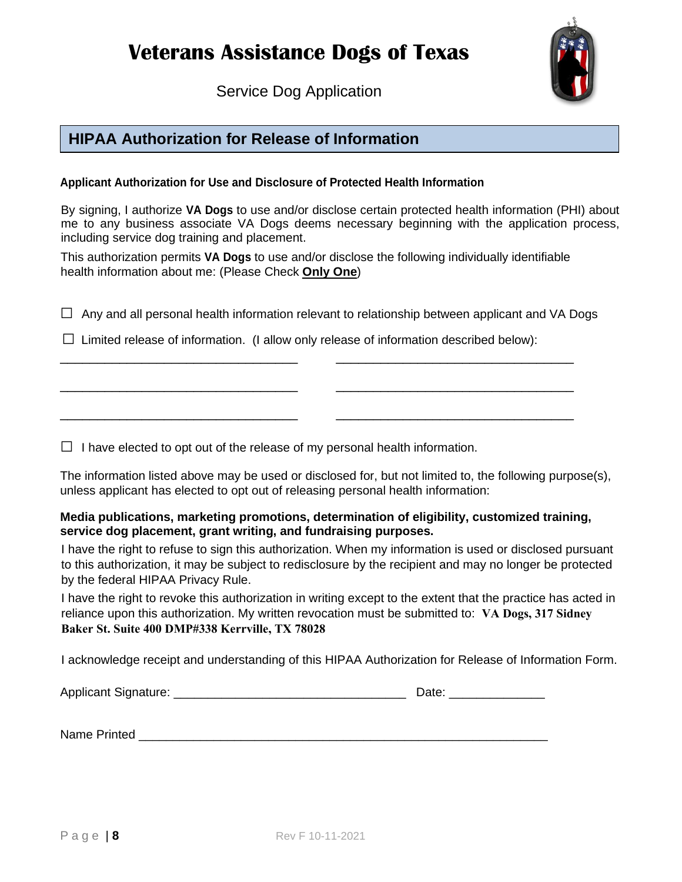Service Dog Application



## **HIPAA Authorization for Release of Information**

#### **Applicant Authorization for Use and Disclosure of Protected Health Information**

By signing, I authorize **VA Dogs** to use and/or disclose certain protected health information (PHI) about me to any business associate VA Dogs deems necessary beginning with the application process, including service dog training and placement.

This authorization permits **VA Dogs** to use and/or disclose the following individually identifiable health information about me: (Please Check **Only One**)

\_\_\_\_\_\_\_\_\_\_\_\_\_\_\_\_\_\_\_\_\_\_\_\_\_\_\_\_\_\_\_\_ \_\_\_\_\_\_\_\_\_\_\_\_\_\_\_\_\_\_\_\_\_\_\_\_\_\_\_\_\_\_\_\_

\_\_\_\_\_\_\_\_\_\_\_\_\_\_\_\_\_\_\_\_\_\_\_\_\_\_\_\_\_\_\_\_ \_\_\_\_\_\_\_\_\_\_\_\_\_\_\_\_\_\_\_\_\_\_\_\_\_\_\_\_\_\_\_\_

\_\_\_\_\_\_\_\_\_\_\_\_\_\_\_\_\_\_\_\_\_\_\_\_\_\_\_\_\_\_\_\_ \_\_\_\_\_\_\_\_\_\_\_\_\_\_\_\_\_\_\_\_\_\_\_\_\_\_\_\_\_\_\_\_

 $\Box$  Any and all personal health information relevant to relationship between applicant and VA Dogs

 $\square$  Limited release of information. (I allow only release of information described below):

 $\Box$  I have elected to opt out of the release of my personal health information.

The information listed above may be used or disclosed for, but not limited to, the following purpose(s), unless applicant has elected to opt out of releasing personal health information:

#### **Media publications, marketing promotions, determination of eligibility, customized training, service dog placement, grant writing, and fundraising purposes.**

I have the right to refuse to sign this authorization. When my information is used or disclosed pursuant to this authorization, it may be subject to redisclosure by the recipient and may no longer be protected by the federal HIPAA Privacy Rule.

I have the right to revoke this authorization in writing except to the extent that the practice has acted in reliance upon this authorization. My written revocation must be submitted to: **VA Dogs, 317 Sidney Baker St. Suite 400 DMP#338 Kerrville, TX 78028**

I acknowledge receipt and understanding of this HIPAA Authorization for Release of Information Form.

| <b>Applicant Signature:</b> |  | )ate |
|-----------------------------|--|------|
|-----------------------------|--|------|

Name Printed **Example 20**